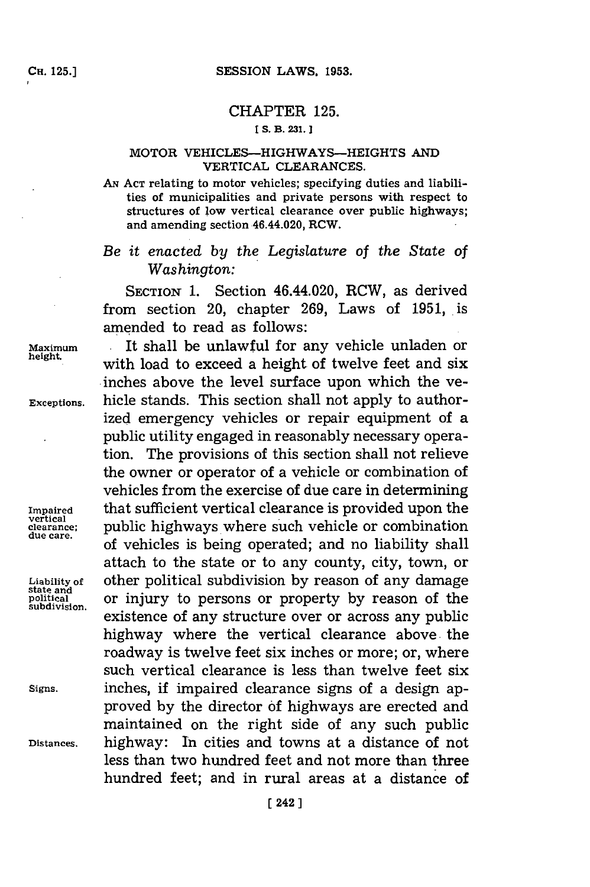## CHAPTER **125.**

## **ES. B. 231.]1**

## MOTOR VEHICLES-HIGHWAYS--HEIGHTS **AND** VERTICAL **CLEARANCES.**

AN ACT relating to motor vehicles; specifying duties and liabilities of municipalities and private persons with respect to structures of low vertical clearance over public highways; and amending section 46.44.020, RCW.

*Be it enacted by the Legislature* of *the State of* Washington:

SECTION **1.** Section 46.44.020, RCW, as derived from section 20, chapter **269,** Laws of **1951,** is amended to read as follows:

**Impaired<br>vertical<br>clearance:** 

**subdivision.**

Maximum **.It** shall be unlawful for any vehicle unladen or with load to exceed a height of twelve feet and six inches above the level surface upon which the ye-**Exceptions.** hicle stands. This section shall not apply to authorized emergency vehicles or repair equipment of a public utility engaged in reasonably necessary operation. The provisions of this section shall not relieve the owner or operator of a vehicle or combination of vehicles from the exercise of due care in determining **Impaired** that sufficient vertical clearance is provided upon the vertical<br>clearance; public highways where such vehicle or combination<br>due care. of vehicles is being operated; and no liability shall attach to the state or to any county, city, town, or **Liability of** other political subdivision **by** reason of any damage **state and political** or injury to persons or property **by** reason of the existence of any structure over or across any public highway where the vertical clearance above, the roadway is twelve feet six inches or more; or, where such vertical clearance is less than twelve feet six **Signs.** inches, if impaired clearance signs of a design approved **by** the director **of** highways are erected and maintained on the right side of any such public **Distances.** highway: In cities and towns at a distance of not less than two hundred feet and not more than three hundred feet; and in rural areas at a distance of